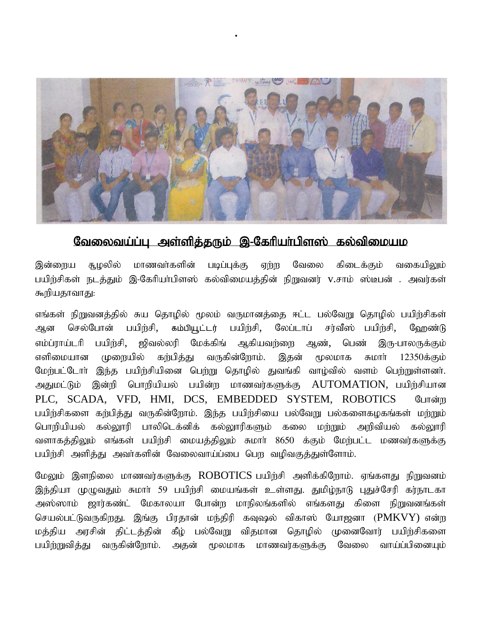

## வேலைவய்ப்பு அள்ளித்தரும் இ-கேரியா்பிளஸ் கல்விமையம

இன்றைய சூழலில் மாணவா்களின் படிப்புக்கு ஏற்ற வேலை கிடைக்கும் வகையிலும் பயிற்சிகள் நடத்தும் இ-கேரியா்பிளஸ் கல்விமையத்தின் நிறுவனர் v.சாம் ஸ்டீபன் . அவர்கள் கூறியதாவாது:

எங்கள் நிறுவனத்தில் சுய தொழில் மூலம் வருமானத்தை ஈட்ட பல்வேறு தொழில் பயிற்சிகள் ஆன செல்போன் பயிற்சி, கம்பியூட்டர் பயிற்சி, லேப்டாப் சர்வீஸ் பயிற்சி, ஹேண்டு எம்ப்ராய்டரி பயிற்சி, ஜிவல்லரி மேக்கிங் ஆகியவற்றை ஆண், பெண் இரு-பாலருக்கும் எளிமையான முறையில் கற்பித்து வருகின்றோம். இதன் மூலமாக சுமாா் 12350க்கும் மேற்பட்டோா் இந்த பயிற்சியினை பெற்று தொழில் துவங்கி வாழ்வில் வளம் பெற்றுள்ளனா். அதுமட்டும் இன்றி பொறியியல் பயின்ற மாணவர்களுக்கு AUTOMATION, பயிற்சியான PLC, SCADA, VFD, HMI, DCS, EMBEDDED SYSTEM, ROBOTICS Gunsing பயிற்சிகளை கற்பித்து வருகின்றோம். இந்த பயிற்சியை பல்வேறு பல்களைகழகங்கள் மற்றும் பொறியியல் கல்லூரி பாலிடெக்னிக் கல்லூரிகளும் கலை மற்றும் அறிவியல் கல்லூரி வளாகத்திலும் எங்கள் பயிற்சி மையத்திலும் சுமார் 8650 க்கும் மேற்பட்ட மணவர்களுக்கு பயிற்சி அளித்து அவர்களின் வேலைவாய்ப்பை பெற வழிவகுத்துள்ளோம்.

மேலும் இளநிலை மாணவர்களுக்கு  $\it{ROBOTICS}$  பயிற்சி அளிக்கிறோம். ஏங்களது நிறுவனம் இந்தியா முழுவதும் சுமார் 59 பயிற்சி மையங்கள் உள்ளது. துமிழ்நாடு புதுச்சேரி கர்நாடகா அஸ்ஸாம் ஜார்கண்ட் மேகாலயா போன்ற மாநிலங்களில் எங்களது கிளை நிறுவனங்கள் செயல்பட்டுவருகிறது. இங்கு பிரதான் மந்திரி கவுஷல் விகாஸ் யோஜனா (PMKVY) என்ற மத்திய அரசின் திட்டத்தின் கீழ் பல்வேறு விதமான தொழில் முனைவோர் பயிற்சிகளை பயிற்றுவித்து வருகின்றோம். அதன் மூலமாக மாணவர்களுக்கு வேலை வாய்ப்பினையும்